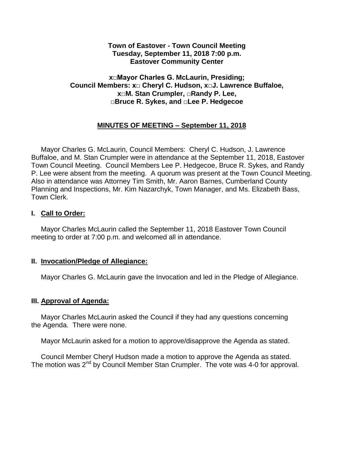### **Town of Eastover - Town Council Meeting Tuesday, September 11, 2018 7:00 p.m. Eastover Community Center**

## **x□Mayor Charles G. McLaurin, Presiding; Council Members: x□ Cheryl C. Hudson, x□J. Lawrence Buffaloe, x□M. Stan Crumpler, □Randy P. Lee, □Bruce R. Sykes, and □Lee P. Hedgecoe**

# **MINUTES OF MEETING – September 11, 2018**

 Mayor Charles G. McLaurin, Council Members: Cheryl C. Hudson, J. Lawrence Buffaloe, and M. Stan Crumpler were in attendance at the September 11, 2018, Eastover Town Council Meeting. Council Members Lee P. Hedgecoe, Bruce R. Sykes, and Randy P. Lee were absent from the meeting. A quorum was present at the Town Council Meeting. Also in attendance was Attorney Tim Smith, Mr. Aaron Barnes, Cumberland County Planning and Inspections, Mr. Kim Nazarchyk, Town Manager, and Ms. Elizabeth Bass, Town Clerk.

## **I. Call to Order:**

 Mayor Charles McLaurin called the September 11, 2018 Eastover Town Council meeting to order at 7:00 p.m. and welcomed all in attendance.

## **II. Invocation/Pledge of Allegiance:**

Mayor Charles G. McLaurin gave the Invocation and led in the Pledge of Allegiance.

#### **III. Approval of Agenda:**

 Mayor Charles McLaurin asked the Council if they had any questions concerning the Agenda. There were none.

Mayor McLaurin asked for a motion to approve/disapprove the Agenda as stated.

 Council Member Cheryl Hudson made a motion to approve the Agenda as stated. The motion was 2<sup>nd</sup> by Council Member Stan Crumpler. The vote was 4-0 for approval.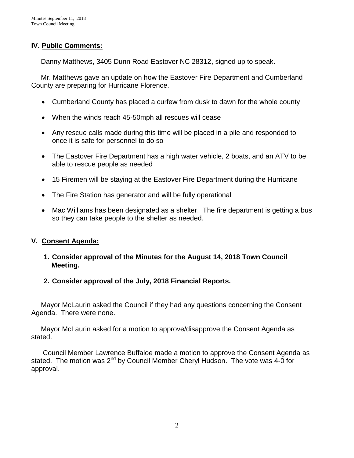# **IV. Public Comments:**

Danny Matthews, 3405 Dunn Road Eastover NC 28312, signed up to speak.

 Mr. Matthews gave an update on how the Eastover Fire Department and Cumberland County are preparing for Hurricane Florence.

- Cumberland County has placed a curfew from dusk to dawn for the whole county
- When the winds reach 45-50mph all rescues will cease
- Any rescue calls made during this time will be placed in a pile and responded to once it is safe for personnel to do so
- The Eastover Fire Department has a high water vehicle, 2 boats, and an ATV to be able to rescue people as needed
- 15 Firemen will be staying at the Eastover Fire Department during the Hurricane
- The Fire Station has generator and will be fully operational
- Mac Williams has been designated as a shelter. The fire department is getting a bus so they can take people to the shelter as needed.

# **V. Consent Agenda:**

- **1. Consider approval of the Minutes for the August 14, 2018 Town Council Meeting.**
- **2. Consider approval of the July, 2018 Financial Reports.**

 Mayor McLaurin asked the Council if they had any questions concerning the Consent Agenda. There were none.

 Mayor McLaurin asked for a motion to approve/disapprove the Consent Agenda as stated.

 Council Member Lawrence Buffaloe made a motion to approve the Consent Agenda as stated. The motion was  $2^{nd}$  by Council Member Cheryl Hudson. The vote was 4-0 for approval.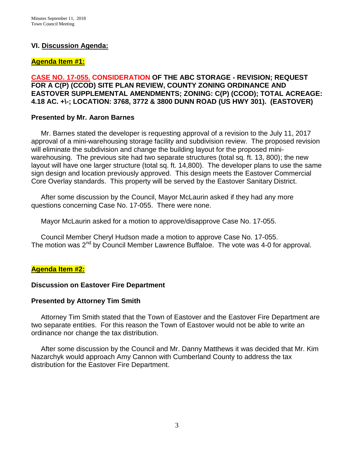## **VI. Discussion Agenda:**

### **Agenda Item #1:**

**CASE NO. 17-055. CONSIDERATION OF THE ABC STORAGE - REVISION; REQUEST FOR A C(P) (CCOD) SITE PLAN REVIEW, COUNTY ZONING ORDINANCE AND EASTOVER SUPPLEMENTAL AMENDMENTS; ZONING: C(P) (CCOD); TOTAL ACREAGE: 4.18 AC. +\-; LOCATION: 3768, 3772 & 3800 DUNN ROAD (US HWY 301). (EASTOVER)**

### **Presented by Mr. Aaron Barnes**

 Mr. Barnes stated the developer is requesting approval of a revision to the July 11, 2017 approval of a mini-warehousing storage facility and subdivision review. The proposed revision will eliminate the subdivision and change the building layout for the proposed miniwarehousing. The previous site had two separate structures (total sq. ft. 13, 800); the new layout will have one larger structure (total sq. ft. 14,800). The developer plans to use the same sign design and location previously approved. This design meets the Eastover Commercial Core Overlay standards. This property will be served by the Eastover Sanitary District.

 After some discussion by the Council, Mayor McLaurin asked if they had any more questions concerning Case No. 17-055. There were none.

Mayor McLaurin asked for a motion to approve/disapprove Case No. 17-055.

 Council Member Cheryl Hudson made a motion to approve Case No. 17-055. The motion was 2<sup>nd</sup> by Council Member Lawrence Buffaloe. The vote was 4-0 for approval.

## **Agenda Item #2:**

#### **Discussion on Eastover Fire Department**

#### **Presented by Attorney Tim Smith**

 Attorney Tim Smith stated that the Town of Eastover and the Eastover Fire Department are two separate entities. For this reason the Town of Eastover would not be able to write an ordinance nor change the tax distribution.

 After some discussion by the Council and Mr. Danny Matthews it was decided that Mr. Kim Nazarchyk would approach Amy Cannon with Cumberland County to address the tax distribution for the Eastover Fire Department.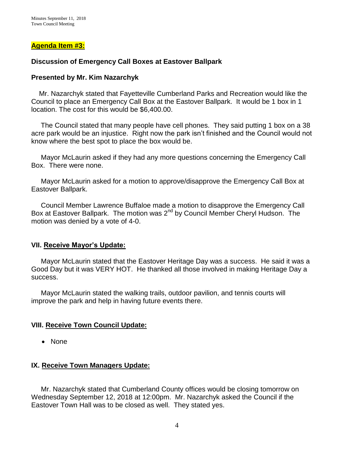### **Agenda Item #3:**

### **Discussion of Emergency Call Boxes at Eastover Ballpark**

#### **Presented by Mr. Kim Nazarchyk**

 Mr. Nazarchyk stated that Fayetteville Cumberland Parks and Recreation would like the Council to place an Emergency Call Box at the Eastover Ballpark. It would be 1 box in 1 location. The cost for this would be \$6,400.00.

 The Council stated that many people have cell phones. They said putting 1 box on a 38 acre park would be an injustice. Right now the park isn't finished and the Council would not know where the best spot to place the box would be.

 Mayor McLaurin asked if they had any more questions concerning the Emergency Call Box. There were none.

 Mayor McLaurin asked for a motion to approve/disapprove the Emergency Call Box at Eastover Ballpark.

 Council Member Lawrence Buffaloe made a motion to disapprove the Emergency Call Box at Eastover Ballpark. The motion was 2<sup>nd</sup> by Council Member Cheryl Hudson. The motion was denied by a vote of 4-0.

#### **VII. Receive Mayor's Update:**

 Mayor McLaurin stated that the Eastover Heritage Day was a success. He said it was a Good Day but it was VERY HOT. He thanked all those involved in making Heritage Day a success.

 Mayor McLaurin stated the walking trails, outdoor pavilion, and tennis courts will improve the park and help in having future events there.

#### **VIII. Receive Town Council Update:**

• None

# **IX. Receive Town Managers Update:**

 Mr. Nazarchyk stated that Cumberland County offices would be closing tomorrow on Wednesday September 12, 2018 at 12:00pm. Mr. Nazarchyk asked the Council if the Eastover Town Hall was to be closed as well. They stated yes.